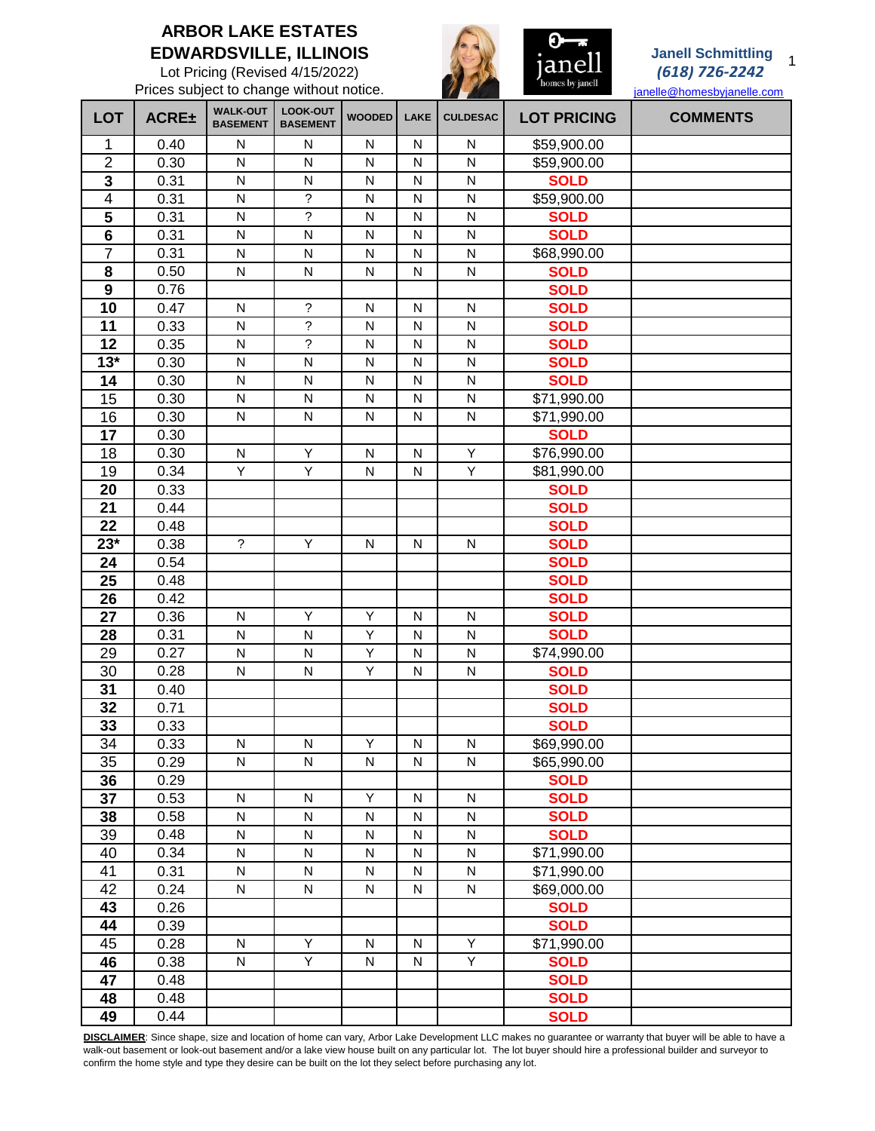## **ARBOR LAKE ESTATES EDWARDSVILLE, ILLINOIS**

Lot Pricing (Revised 4/15/2022)

Prices subject to change without notice.



## **Janell Schmittling** *(618) 726-2242*

[janelle@homesbyjanelle.com](mailto:janelle@homesbyjanelle.com#)

| <b>LOT</b>              | <b>ACRE±</b> | <b>WALK-OUT</b><br><b>BASEMENT</b> | LOOK-OUT<br><b>BASEMENT</b> | <b>WOODED</b> | <b>LAKE</b>  | <b>CULDESAC</b> | <b>LOT PRICING</b> | <b>COMMENTS</b> |
|-------------------------|--------------|------------------------------------|-----------------------------|---------------|--------------|-----------------|--------------------|-----------------|
| 1                       | 0.40         | N                                  | N                           | N             | N            | N               | \$59,900.00        |                 |
| $\overline{2}$          | 0.30         | $\mathsf{N}$                       | ${\sf N}$                   | $\mathsf{N}$  | $\mathsf{N}$ | N               | \$59,900.00        |                 |
| $\mathbf{3}$            | 0.31         | ${\sf N}$                          | ${\sf N}$                   | ${\sf N}$     | $\mathsf{N}$ | N               | <b>SOLD</b>        |                 |
| $\overline{\mathbf{4}}$ | 0.31         | N                                  | $\tilde{?}$                 | N             | N            | N               | \$59,900.00        |                 |
| 5                       | 0.31         | ${\sf N}$                          | $\tilde{?}$                 | ${\sf N}$     | $\mathsf{N}$ | N               | <b>SOLD</b>        |                 |
| $\overline{\mathbf{6}}$ | 0.31         | ${\sf N}$                          | ${\sf N}$                   | ${\sf N}$     | $\mathsf{N}$ | N               | <b>SOLD</b>        |                 |
| $\overline{7}$          | 0.31         | ${\sf N}$                          | ${\sf N}$                   | N             | $\mathsf{N}$ | ${\sf N}$       | \$68,990.00        |                 |
| 8                       | 0.50         | ${\sf N}$                          | ${\sf N}$                   | N             | $\mathsf{N}$ | N               | <b>SOLD</b>        |                 |
| 9                       | 0.76         |                                    |                             |               |              |                 | <b>SOLD</b>        |                 |
| 10                      | 0.47         | $\mathsf{N}$                       | $\tilde{?}$                 | $\mathsf{N}$  | $\mathsf{N}$ | N               | <b>SOLD</b>        |                 |
| 11                      | 0.33         | ${\sf N}$                          | $\overline{\cdot}$          | N             | N            | N               | <b>SOLD</b>        |                 |
| 12                      | 0.35         | ${\sf N}$                          | $\tilde{?}$                 | N             | $\mathsf{N}$ | ${\sf N}$       | <b>SOLD</b>        |                 |
| $13*$                   | 0.30         | $\mathsf{N}$                       | N                           | N             | N            | N               | <b>SOLD</b>        |                 |
| 14                      | 0.30         | ${\sf N}$                          | ${\sf N}$                   | ${\sf N}$     | $\mathsf{N}$ | $\mathsf{N}$    | <b>SOLD</b>        |                 |
| 15                      | 0.30         | ${\sf N}$                          | ${\sf N}$                   | ${\sf N}$     | ${\sf N}$    | $\mathsf{N}$    | \$71,990.00        |                 |
| 16                      | 0.30         | N                                  | ${\sf N}$                   | ${\sf N}$     | $\mathsf{N}$ | $\mathsf{N}$    | \$71,990.00        |                 |
| 17                      | 0.30         |                                    |                             |               |              |                 | <b>SOLD</b>        |                 |
| 18                      | 0.30         | ${\sf N}$                          | Υ                           | $\mathsf{N}$  | $\mathsf{N}$ | Υ               | \$76,990.00        |                 |
| 19                      | 0.34         | Υ                                  | Y                           | $\mathsf{N}$  | $\mathsf{N}$ | $\overline{Y}$  | \$81,990.00        |                 |
| 20                      | 0.33         |                                    |                             |               |              |                 | <b>SOLD</b>        |                 |
| 21                      | 0.44         |                                    |                             |               |              |                 | <b>SOLD</b>        |                 |
| 22                      | 0.48         |                                    |                             |               |              |                 | <b>SOLD</b>        |                 |
| $23*$                   | 0.38         | $\overline{\phantom{a}}$           | Y                           | N             | N            | N               | <b>SOLD</b>        |                 |
| 24                      | 0.54         |                                    |                             |               |              |                 | <b>SOLD</b>        |                 |
| 25                      | 0.48         |                                    |                             |               |              |                 | <b>SOLD</b>        |                 |
| 26                      | 0.42         |                                    |                             |               |              |                 | <b>SOLD</b>        |                 |
| $\overline{27}$         | 0.36         | $\mathsf{N}$                       | Υ                           | Υ             | $\mathsf{N}$ | N               | <b>SOLD</b>        |                 |
| 28                      | 0.31         | ${\sf N}$                          | ${\sf N}$                   | Υ             | N            | N               | <b>SOLD</b>        |                 |
| 29                      | 0.27         | ${\sf N}$                          | N                           | Υ             | N            | N               | \$74,990.00        |                 |
| 30                      | 0.28         | N                                  | N                           | Υ             | N            | N               | <b>SOLD</b>        |                 |
| 31                      | 0.40         |                                    |                             |               |              |                 | <b>SOLD</b>        |                 |
| 32                      | 0.71         |                                    |                             |               |              |                 | <b>SOLD</b>        |                 |
| 33                      | 0.33         |                                    |                             |               |              |                 | <b>SOLD</b>        |                 |
| $\overline{34}$         | 0.33         | N                                  | $\mathsf{N}$                | Y             | N            | N               | \$69,990.00        |                 |
| 35                      | 0.29         | N                                  | ${\sf N}$                   | N             | $\mathsf{N}$ | N               | \$65,990.00        |                 |
| 36                      | 0.29         |                                    |                             |               |              |                 | <b>SOLD</b>        |                 |
| 37                      | 0.53         | ${\sf N}$                          | N                           | Υ             | N            | N               | <b>SOLD</b>        |                 |
| 38                      | 0.58         | ${\sf N}$                          | N                           | N             | N            | N               | <b>SOLD</b>        |                 |
| 39                      | 0.48         | ${\sf N}$                          | ${\sf N}$                   | ${\sf N}$     | ${\sf N}$    | N               | <b>SOLD</b>        |                 |
| 40                      | 0.34         | ${\sf N}$                          | ${\sf N}$                   | ${\sf N}$     | ${\sf N}$    | N               | \$71,990.00        |                 |
| 41                      | 0.31         | ${\sf N}$                          | ${\sf N}$                   | ${\sf N}$     | ${\sf N}$    | N               | \$71,990.00        |                 |
| 42                      | 0.24         | $\mathsf{N}$                       | N                           | ${\sf N}$     | ${\sf N}$    | N               | \$69,000.00        |                 |
| 43                      | 0.26         |                                    |                             |               |              |                 | <b>SOLD</b>        |                 |
| 44                      | 0.39         |                                    |                             |               |              |                 | <b>SOLD</b>        |                 |
| 45                      | 0.28         | ${\sf N}$                          | Y                           | N             | N            | Y.              | \$71,990.00        |                 |
| 46                      | 0.38         | N                                  | Y.                          | N             | N            | Y.              | <b>SOLD</b>        |                 |
| 47                      | 0.48         |                                    |                             |               |              |                 | <b>SOLD</b>        |                 |
| 48                      | 0.48         |                                    |                             |               |              |                 | <b>SOLD</b>        |                 |
| 49                      | 0.44         |                                    |                             |               |              |                 | <b>SOLD</b>        |                 |
|                         |              |                                    |                             |               |              |                 |                    |                 |

**DISCLAIMER**: Since shape, size and location of home can vary, Arbor Lake Development LLC makes no guarantee or warranty that buyer will be able to have a walk-out basement or look-out basement and/or a lake view house built on any particular lot. The lot buyer should hire a professional builder and surveyor to confirm the home style and type they desire can be built on the lot they select before purchasing any lot.